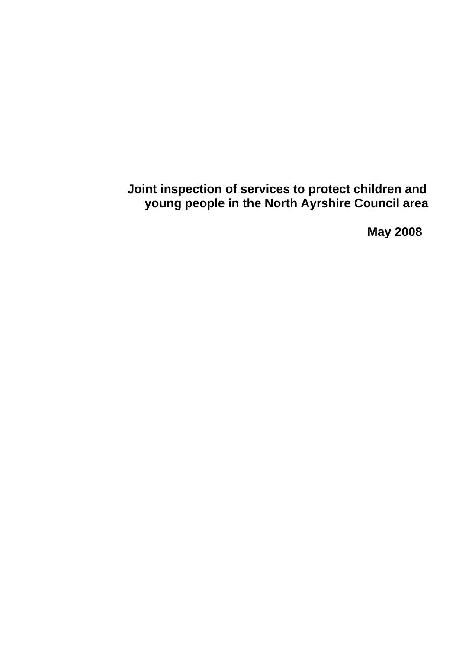**Joint inspection of services to protect children and young people in the North Ayrshire Council area** 

 **May 2008**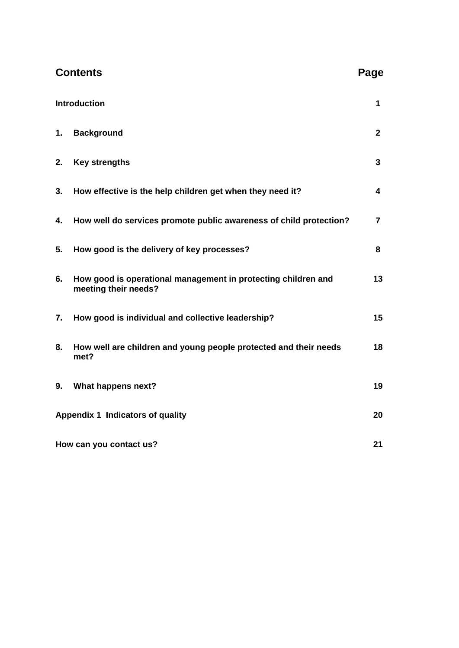| <b>Contents</b>                  |                                                                                       |                |
|----------------------------------|---------------------------------------------------------------------------------------|----------------|
| <b>Introduction</b>              |                                                                                       | 1              |
| 1.                               | <b>Background</b>                                                                     | $\mathbf{2}$   |
| 2.                               | <b>Key strengths</b>                                                                  | $\mathbf{3}$   |
| 3.                               | How effective is the help children get when they need it?                             | 4              |
| 4.                               | How well do services promote public awareness of child protection?                    | $\overline{7}$ |
| 5.                               | How good is the delivery of key processes?                                            | 8              |
| 6.                               | How good is operational management in protecting children and<br>meeting their needs? | 13             |
| 7.                               | How good is individual and collective leadership?                                     | 15             |
| 8.                               | How well are children and young people protected and their needs<br>met?              | 18             |
| 9.                               | What happens next?                                                                    | 19             |
| Appendix 1 Indicators of quality |                                                                                       |                |
| How can you contact us?          |                                                                                       |                |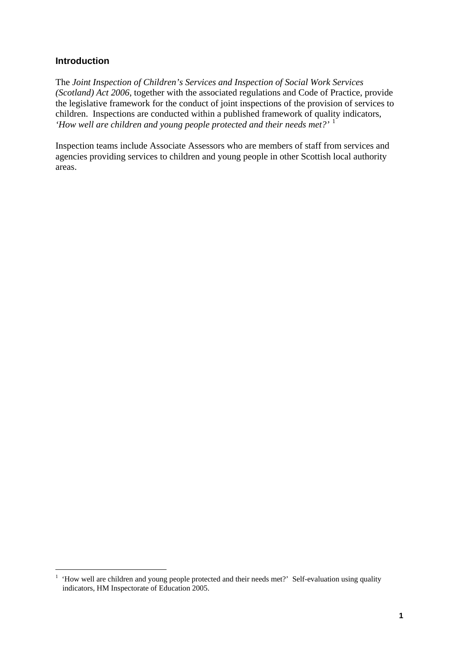### **Introduction**

1

The *Joint Inspection of Children's Services and Inspection of Social Work Services (Scotland) Act 2006*, together with the associated regulations and Code of Practice, provide the legislative framework for the conduct of joint inspections of the provision of services to children. Inspections are conducted within a published framework of quality indicators, *'How well are children and young people protected and their needs met?'* [1](#page-2-0)

Inspection teams include Associate Assessors who are members of staff from services and agencies providing services to children and young people in other Scottish local authority areas.

<span id="page-2-0"></span><sup>1</sup> 'How well are children and young people protected and their needs met?' Self-evaluation using quality indicators, HM Inspectorate of Education 2005.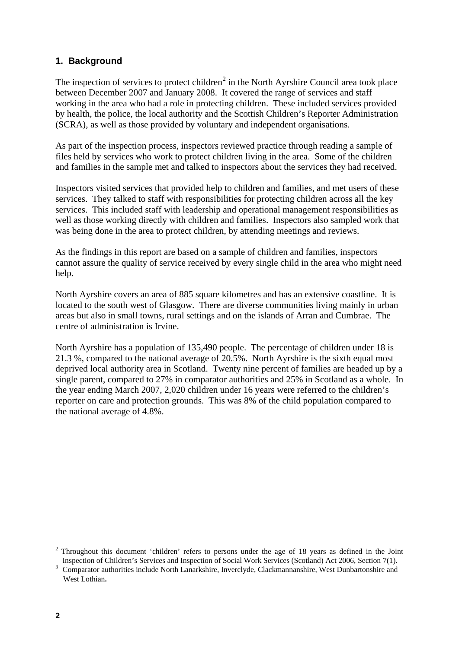# **1. Background**

The inspection of services to protect children<sup>[2](#page-3-0)</sup> in the North Ayrshire Council area took place between December 2007 and January 2008. It covered the range of services and staff working in the area who had a role in protecting children. These included services provided by health, the police, the local authority and the Scottish Children's Reporter Administration (SCRA), as well as those provided by voluntary and independent organisations.

As part of the inspection process, inspectors reviewed practice through reading a sample of files held by services who work to protect children living in the area. Some of the children and families in the sample met and talked to inspectors about the services they had received.

Inspectors visited services that provided help to children and families, and met users of these services. They talked to staff with responsibilities for protecting children across all the key services. This included staff with leadership and operational management responsibilities as well as those working directly with children and families. Inspectors also sampled work that was being done in the area to protect children, by attending meetings and reviews.

As the findings in this report are based on a sample of children and families, inspectors cannot assure the quality of service received by every single child in the area who might need help.

North Ayrshire covers an area of 885 square kilometres and has an extensive coastline. It is located to the south west of Glasgow. There are diverse communities living mainly in urban areas but also in small towns, rural settings and on the islands of Arran and Cumbrae. The centre of administration is Irvine.

North Ayrshire has a population of 135,490 people. The percentage of children under 18 is 21.3 %, compared to the national average of 20.5%. North Ayrshire is the sixth equal most deprived local authority area in Scotland. Twenty nine percent of families are headed up by a single parent, compared to 27% in comparator authorities and 25% in Scotland as a whole. In the year ending March 2007, 2,020 children under 16 years were referred to the children's reporter on care and protection grounds. This was 8% of the child population compared to the national average of 4.8%.

1

<span id="page-3-0"></span><sup>&</sup>lt;sup>2</sup> Throughout this document 'children' refers to persons under the age of 18 years as defined in the Joint Inspection of Children's Services and Inspection of Social Work Services (Scotland) Act 2006, Section 7(1).

<sup>&</sup>lt;sup>3</sup> Comparator authorities include North Lanarkshire, Inverclyde, Clackmannanshire, West Dunbartonshire and West Lothian**.**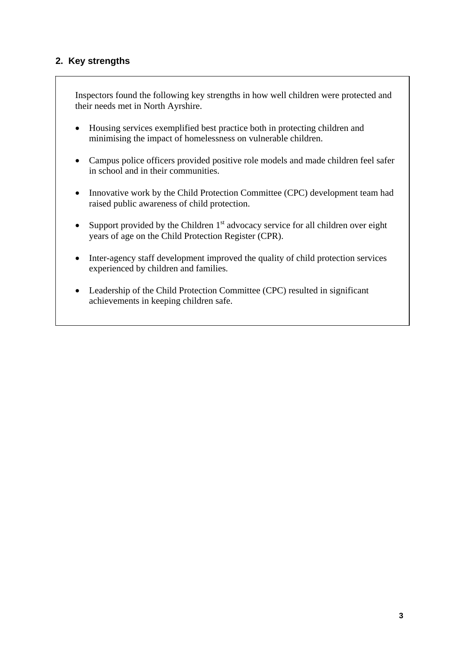# **2. Key strengths**

Inspectors found the following key strengths in how well children were protected and their needs met in North Ayrshire.

- Housing services exemplified best practice both in protecting children and minimising the impact of homelessness on vulnerable children.
- Campus police officers provided positive role models and made children feel safer in school and in their communities.
- Innovative work by the Child Protection Committee (CPC) development team had raised public awareness of child protection.
- Support provided by the Children  $1<sup>st</sup>$  advocacy service for all children over eight years of age on the Child Protection Register (CPR).
- Inter-agency staff development improved the quality of child protection services experienced by children and families.
- Leadership of the Child Protection Committee (CPC) resulted in significant achievements in keeping children safe.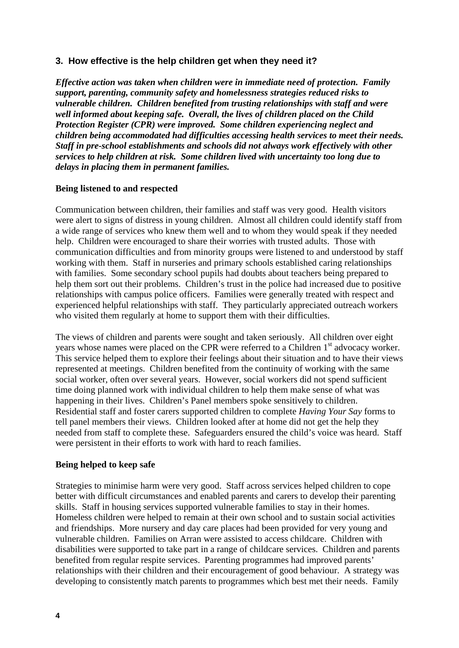## **3. How effective is the help children get when they need it?**

*Effective action was taken when children were in immediate need of protection. Family support, parenting, community safety and homelessness strategies reduced risks to vulnerable children. Children benefited from trusting relationships with staff and were well informed about keeping safe. Overall, the lives of children placed on the Child Protection Register (CPR) were improved. Some children experiencing neglect and children being accommodated had difficulties accessing health services to meet their needs. Staff in pre-school establishments and schools did not always work effectively with other services to help children at risk. Some children lived with uncertainty too long due to delays in placing them in permanent families.* 

#### **Being listened to and respected**

Communication between children, their families and staff was very good. Health visitors were alert to signs of distress in young children. Almost all children could identify staff from a wide range of services who knew them well and to whom they would speak if they needed help. Children were encouraged to share their worries with trusted adults. Those with communication difficulties and from minority groups were listened to and understood by staff working with them. Staff in nurseries and primary schools established caring relationships with families. Some secondary school pupils had doubts about teachers being prepared to help them sort out their problems. Children's trust in the police had increased due to positive relationships with campus police officers. Families were generally treated with respect and experienced helpful relationships with staff. They particularly appreciated outreach workers who visited them regularly at home to support them with their difficulties.

The views of children and parents were sought and taken seriously. All children over eight years whose names were placed on the CPR were referred to a Children 1<sup>st</sup> advocacy worker. This service helped them to explore their feelings about their situation and to have their views represented at meetings. Children benefited from the continuity of working with the same social worker, often over several years. However, social workers did not spend sufficient time doing planned work with individual children to help them make sense of what was happening in their lives. Children's Panel members spoke sensitively to children. Residential staff and foster carers supported children to complete *Having Your Say* forms to tell panel members their views. Children looked after at home did not get the help they needed from staff to complete these. Safeguarders ensured the child's voice was heard. Staff were persistent in their efforts to work with hard to reach families.

# **Being helped to keep safe**

Strategies to minimise harm were very good. Staff across services helped children to cope better with difficult circumstances and enabled parents and carers to develop their parenting skills. Staff in housing services supported vulnerable families to stay in their homes. Homeless children were helped to remain at their own school and to sustain social activities and friendships. More nursery and day care places had been provided for very young and vulnerable children. Families on Arran were assisted to access childcare. Children with disabilities were supported to take part in a range of childcare services. Children and parents benefited from regular respite services. Parenting programmes had improved parents' relationships with their children and their encouragement of good behaviour. A strategy was developing to consistently match parents to programmes which best met their needs. Family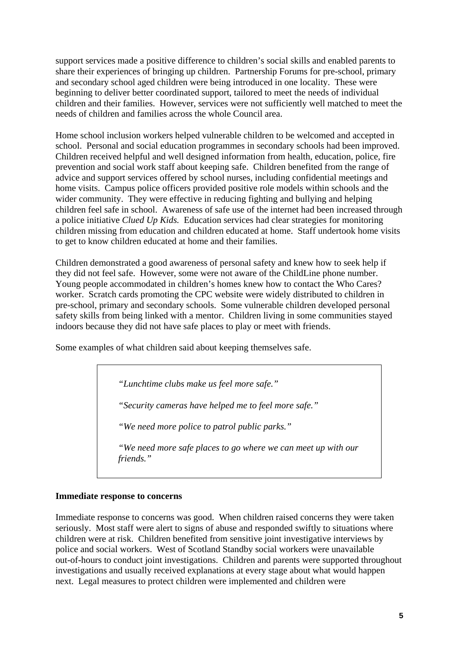support services made a positive difference to children's social skills and enabled parents to share their experiences of bringing up children. Partnership Forums for pre-school, primary and secondary school aged children were being introduced in one locality. These were beginning to deliver better coordinated support, tailored to meet the needs of individual children and their families. However, services were not sufficiently well matched to meet the needs of children and families across the whole Council area.

Home school inclusion workers helped vulnerable children to be welcomed and accepted in school. Personal and social education programmes in secondary schools had been improved. Children received helpful and well designed information from health, education, police, fire prevention and social work staff about keeping safe. Children benefited from the range of advice and support services offered by school nurses, including confidential meetings and home visits. Campus police officers provided positive role models within schools and the wider community. They were effective in reducing fighting and bullying and helping children feel safe in school. Awareness of safe use of the internet had been increased through a police initiative *Clued Up Kids.* Education services had clear strategies for monitoring children missing from education and children educated at home. Staff undertook home visits to get to know children educated at home and their families.

Children demonstrated a good awareness of personal safety and knew how to seek help if they did not feel safe. However, some were not aware of the ChildLine phone number. Young people accommodated in children's homes knew how to contact the Who Cares? worker. Scratch cards promoting the CPC website were widely distributed to children in pre-school, primary and secondary schools. Some vulnerable children developed personal safety skills from being linked with a mentor. Children living in some communities stayed indoors because they did not have safe places to play or meet with friends.

Some examples of what children said about keeping themselves safe.

*"Lunchtime clubs make us feel more safe."* 

*"Security cameras have helped me to feel more safe."* 

*"We need more police to patrol public parks."* 

*"We need more safe places to go where we can meet up with our friends."* 

#### **Immediate response to concerns**

Immediate response to concerns was good. When children raised concerns they were taken seriously. Most staff were alert to signs of abuse and responded swiftly to situations where children were at risk. Children benefited from sensitive joint investigative interviews by police and social workers. West of Scotland Standby social workers were unavailable out-of-hours to conduct joint investigations. Children and parents were supported throughout investigations and usually received explanations at every stage about what would happen next. Legal measures to protect children were implemented and children were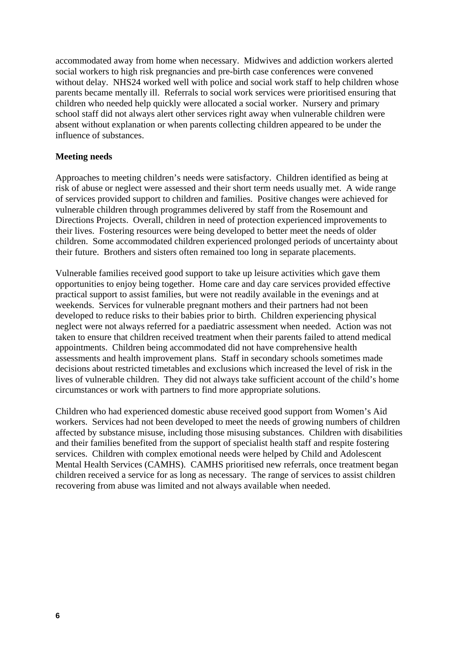accommodated away from home when necessary. Midwives and addiction workers alerted social workers to high risk pregnancies and pre-birth case conferences were convened without delay. NHS24 worked well with police and social work staff to help children whose parents became mentally ill. Referrals to social work services were prioritised ensuring that children who needed help quickly were allocated a social worker. Nursery and primary school staff did not always alert other services right away when vulnerable children were absent without explanation or when parents collecting children appeared to be under the influence of substances.

#### **Meeting needs**

Approaches to meeting children's needs were satisfactory. Children identified as being at risk of abuse or neglect were assessed and their short term needs usually met. A wide range of services provided support to children and families. Positive changes were achieved for vulnerable children through programmes delivered by staff from the Rosemount and Directions Projects. Overall, children in need of protection experienced improvements to their lives. Fostering resources were being developed to better meet the needs of older children. Some accommodated children experienced prolonged periods of uncertainty about their future. Brothers and sisters often remained too long in separate placements.

Vulnerable families received good support to take up leisure activities which gave them opportunities to enjoy being together. Home care and day care services provided effective practical support to assist families, but were not readily available in the evenings and at weekends. Services for vulnerable pregnant mothers and their partners had not been developed to reduce risks to their babies prior to birth. Children experiencing physical neglect were not always referred for a paediatric assessment when needed. Action was not taken to ensure that children received treatment when their parents failed to attend medical appointments. Children being accommodated did not have comprehensive health assessments and health improvement plans. Staff in secondary schools sometimes made decisions about restricted timetables and exclusions which increased the level of risk in the lives of vulnerable children. They did not always take sufficient account of the child's home circumstances or work with partners to find more appropriate solutions.

Children who had experienced domestic abuse received good support from Women's Aid workers. Services had not been developed to meet the needs of growing numbers of children affected by substance misuse, including those misusing substances. Children with disabilities and their families benefited from the support of specialist health staff and respite fostering services. Children with complex emotional needs were helped by Child and Adolescent Mental Health Services (CAMHS). CAMHS prioritised new referrals, once treatment began children received a service for as long as necessary. The range of services to assist children recovering from abuse was limited and not always available when needed.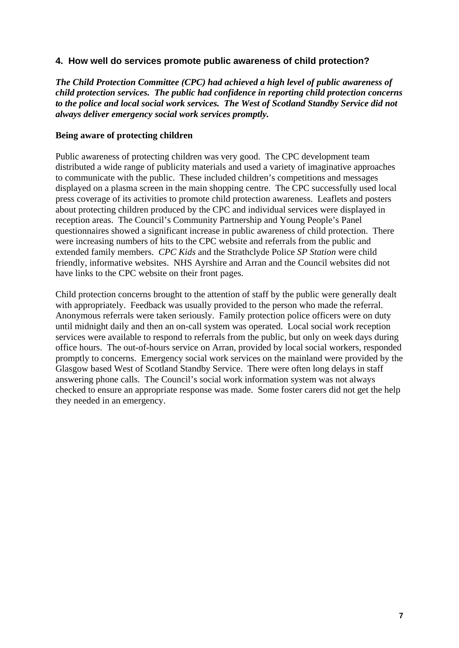# **4. How well do services promote public awareness of child protection?**

*The Child Protection Committee (CPC) had achieved a high level of public awareness of child protection services. The public had confidence in reporting child protection concerns to the police and local social work services. The West of Scotland Standby Service did not always deliver emergency social work services promptly.* 

#### **Being aware of protecting children**

Public awareness of protecting children was very good. The CPC development team distributed a wide range of publicity materials and used a variety of imaginative approaches to communicate with the public. These included children's competitions and messages displayed on a plasma screen in the main shopping centre. The CPC successfully used local press coverage of its activities to promote child protection awareness. Leaflets and posters about protecting children produced by the CPC and individual services were displayed in reception areas. The Council's Community Partnership and Young People's Panel questionnaires showed a significant increase in public awareness of child protection. There were increasing numbers of hits to the CPC website and referrals from the public and extended family members. *CPC Kids* and the Strathclyde Police *SP Station* were child friendly, informative websites. NHS Ayrshire and Arran and the Council websites did not have links to the CPC website on their front pages.

Child protection concerns brought to the attention of staff by the public were generally dealt with appropriately. Feedback was usually provided to the person who made the referral. Anonymous referrals were taken seriously. Family protection police officers were on duty until midnight daily and then an on-call system was operated. Local social work reception services were available to respond to referrals from the public, but only on week days during office hours. The out-of-hours service on Arran, provided by local social workers, responded promptly to concerns. Emergency social work services on the mainland were provided by the Glasgow based West of Scotland Standby Service. There were often long delays in staff answering phone calls. The Council's social work information system was not always checked to ensure an appropriate response was made. Some foster carers did not get the help they needed in an emergency.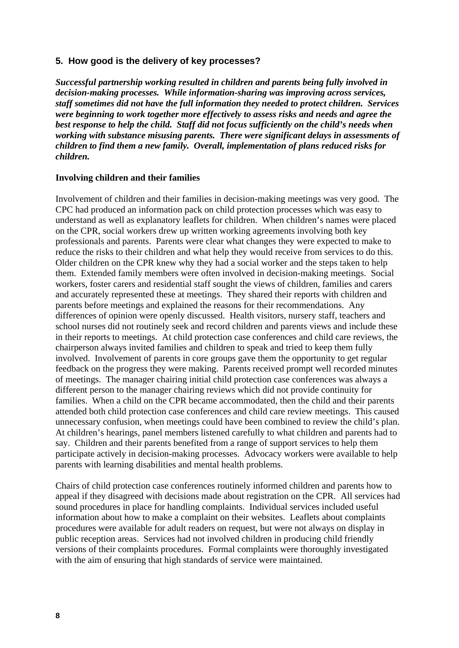#### **5. How good is the delivery of key processes?**

*Successful partnership working resulted in children and parents being fully involved in decision-making processes. While information-sharing was improving across services, staff sometimes did not have the full information they needed to protect children. Services were beginning to work together more effectively to assess risks and needs and agree the best response to help the child. Staff did not focus sufficiently on the child's needs when working with substance misusing parents. There were significant delays in assessments of children to find them a new family. Overall, implementation of plans reduced risks for children.* 

#### **Involving children and their families**

Involvement of children and their families in decision-making meetings was very good. The CPC had produced an information pack on child protection processes which was easy to understand as well as explanatory leaflets for children. When children's names were placed on the CPR, social workers drew up written working agreements involving both key professionals and parents. Parents were clear what changes they were expected to make to reduce the risks to their children and what help they would receive from services to do this. Older children on the CPR knew why they had a social worker and the steps taken to help them. Extended family members were often involved in decision-making meetings. Social workers, foster carers and residential staff sought the views of children, families and carers and accurately represented these at meetings. They shared their reports with children and parents before meetings and explained the reasons for their recommendations. Any differences of opinion were openly discussed. Health visitors, nursery staff, teachers and school nurses did not routinely seek and record children and parents views and include these in their reports to meetings. At child protection case conferences and child care reviews, the chairperson always invited families and children to speak and tried to keep them fully involved. Involvement of parents in core groups gave them the opportunity to get regular feedback on the progress they were making. Parents received prompt well recorded minutes of meetings. The manager chairing initial child protection case conferences was always a different person to the manager chairing reviews which did not provide continuity for families. When a child on the CPR became accommodated, then the child and their parents attended both child protection case conferences and child care review meetings. This caused unnecessary confusion, when meetings could have been combined to review the child's plan. At children's hearings, panel members listened carefully to what children and parents had to say. Children and their parents benefited from a range of support services to help them participate actively in decision-making processes. Advocacy workers were available to help parents with learning disabilities and mental health problems.

Chairs of child protection case conferences routinely informed children and parents how to appeal if they disagreed with decisions made about registration on the CPR. All services had sound procedures in place for handling complaints. Individual services included useful information about how to make a complaint on their websites. Leaflets about complaints procedures were available for adult readers on request, but were not always on display in public reception areas. Services had not involved children in producing child friendly versions of their complaints procedures. Formal complaints were thoroughly investigated with the aim of ensuring that high standards of service were maintained.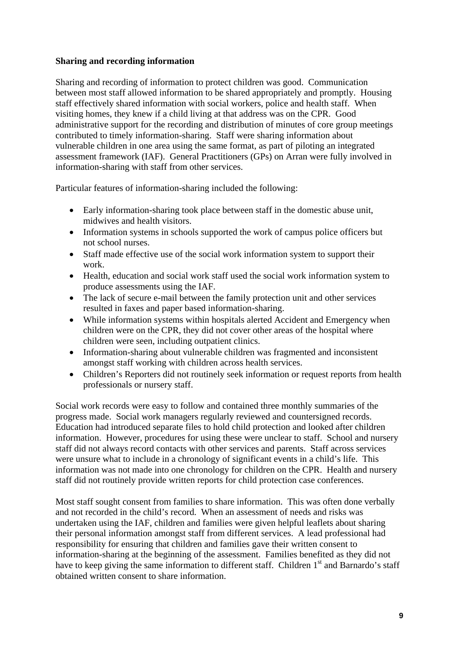# **Sharing and recording information**

Sharing and recording of information to protect children was good. Communication between most staff allowed information to be shared appropriately and promptly. Housing staff effectively shared information with social workers, police and health staff. When visiting homes, they knew if a child living at that address was on the CPR. Good administrative support for the recording and distribution of minutes of core group meetings contributed to timely information-sharing. Staff were sharing information about vulnerable children in one area using the same format, as part of piloting an integrated assessment framework (IAF). General Practitioners (GPs) on Arran were fully involved in information-sharing with staff from other services.

Particular features of information-sharing included the following:

- Early information-sharing took place between staff in the domestic abuse unit, midwives and health visitors.
- Information systems in schools supported the work of campus police officers but not school nurses.
- Staff made effective use of the social work information system to support their work.
- Health, education and social work staff used the social work information system to produce assessments using the IAF.
- The lack of secure e-mail between the family protection unit and other services resulted in faxes and paper based information-sharing.
- While information systems within hospitals alerted Accident and Emergency when children were on the CPR, they did not cover other areas of the hospital where children were seen, including outpatient clinics.
- Information-sharing about vulnerable children was fragmented and inconsistent amongst staff working with children across health services.
- Children's Reporters did not routinely seek information or request reports from health professionals or nursery staff.

Social work records were easy to follow and contained three monthly summaries of the progress made. Social work managers regularly reviewed and countersigned records. Education had introduced separate files to hold child protection and looked after children information. However, procedures for using these were unclear to staff. School and nursery staff did not always record contacts with other services and parents. Staff across services were unsure what to include in a chronology of significant events in a child's life. This information was not made into one chronology for children on the CPR. Health and nursery staff did not routinely provide written reports for child protection case conferences.

Most staff sought consent from families to share information. This was often done verbally and not recorded in the child's record. When an assessment of needs and risks was undertaken using the IAF, children and families were given helpful leaflets about sharing their personal information amongst staff from different services. A lead professional had responsibility for ensuring that children and families gave their written consent to information-sharing at the beginning of the assessment. Families benefited as they did not have to keep giving the same information to different staff. Children  $1<sup>st</sup>$  and Barnardo's staff obtained written consent to share information.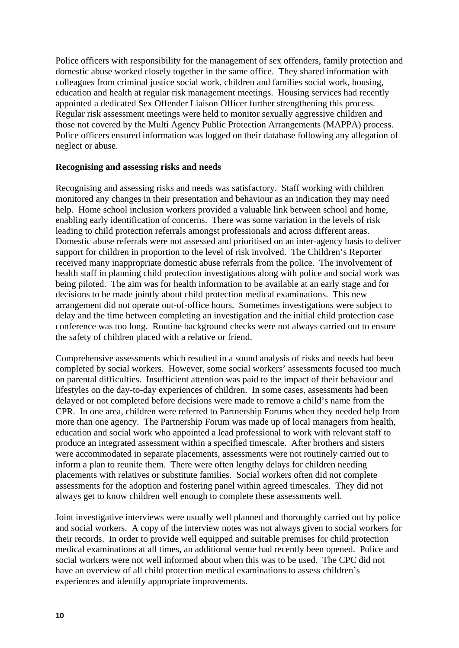Police officers with responsibility for the management of sex offenders, family protection and domestic abuse worked closely together in the same office. They shared information with colleagues from criminal justice social work, children and families social work, housing, education and health at regular risk management meetings. Housing services had recently appointed a dedicated Sex Offender Liaison Officer further strengthening this process. Regular risk assessment meetings were held to monitor sexually aggressive children and those not covered by the Multi Agency Public Protection Arrangements (MAPPA) process. Police officers ensured information was logged on their database following any allegation of neglect or abuse.

#### **Recognising and assessing risks and needs**

Recognising and assessing risks and needs was satisfactory. Staff working with children monitored any changes in their presentation and behaviour as an indication they may need help. Home school inclusion workers provided a valuable link between school and home, enabling early identification of concerns. There was some variation in the levels of risk leading to child protection referrals amongst professionals and across different areas. Domestic abuse referrals were not assessed and prioritised on an inter-agency basis to deliver support for children in proportion to the level of risk involved. The Children's Reporter received many inappropriate domestic abuse referrals from the police. The involvement of health staff in planning child protection investigations along with police and social work was being piloted. The aim was for health information to be available at an early stage and for decisions to be made jointly about child protection medical examinations. This new arrangement did not operate out-of-office hours. Sometimes investigations were subject to delay and the time between completing an investigation and the initial child protection case conference was too long. Routine background checks were not always carried out to ensure the safety of children placed with a relative or friend.

Comprehensive assessments which resulted in a sound analysis of risks and needs had been completed by social workers. However, some social workers' assessments focused too much on parental difficulties. Insufficient attention was paid to the impact of their behaviour and lifestyles on the day-to-day experiences of children. In some cases, assessments had been delayed or not completed before decisions were made to remove a child's name from the CPR. In one area, children were referred to Partnership Forums when they needed help from more than one agency. The Partnership Forum was made up of local managers from health, education and social work who appointed a lead professional to work with relevant staff to produce an integrated assessment within a specified timescale. After brothers and sisters were accommodated in separate placements, assessments were not routinely carried out to inform a plan to reunite them. There were often lengthy delays for children needing placements with relatives or substitute families. Social workers often did not complete assessments for the adoption and fostering panel within agreed timescales. They did not always get to know children well enough to complete these assessments well.

Joint investigative interviews were usually well planned and thoroughly carried out by police and social workers. A copy of the interview notes was not always given to social workers for their records. In order to provide well equipped and suitable premises for child protection medical examinations at all times, an additional venue had recently been opened. Police and social workers were not well informed about when this was to be used. The CPC did not have an overview of all child protection medical examinations to assess children's experiences and identify appropriate improvements.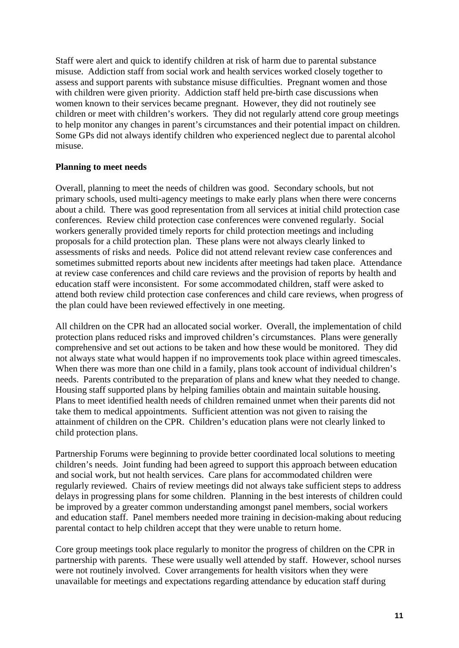Staff were alert and quick to identify children at risk of harm due to parental substance misuse. Addiction staff from social work and health services worked closely together to assess and support parents with substance misuse difficulties. Pregnant women and those with children were given priority. Addiction staff held pre-birth case discussions when women known to their services became pregnant. However, they did not routinely see children or meet with children's workers. They did not regularly attend core group meetings to help monitor any changes in parent's circumstances and their potential impact on children. Some GPs did not always identify children who experienced neglect due to parental alcohol misuse.

#### **Planning to meet needs**

Overall, planning to meet the needs of children was good. Secondary schools, but not primary schools, used multi-agency meetings to make early plans when there were concerns about a child. There was good representation from all services at initial child protection case conferences. Review child protection case conferences were convened regularly. Social workers generally provided timely reports for child protection meetings and including proposals for a child protection plan. These plans were not always clearly linked to assessments of risks and needs. Police did not attend relevant review case conferences and sometimes submitted reports about new incidents after meetings had taken place. Attendance at review case conferences and child care reviews and the provision of reports by health and education staff were inconsistent. For some accommodated children, staff were asked to attend both review child protection case conferences and child care reviews, when progress of the plan could have been reviewed effectively in one meeting.

All children on the CPR had an allocated social worker. Overall, the implementation of child protection plans reduced risks and improved children's circumstances. Plans were generally comprehensive and set out actions to be taken and how these would be monitored. They did not always state what would happen if no improvements took place within agreed timescales. When there was more than one child in a family, plans took account of individual children's needs. Parents contributed to the preparation of plans and knew what they needed to change. Housing staff supported plans by helping families obtain and maintain suitable housing. Plans to meet identified health needs of children remained unmet when their parents did not take them to medical appointments. Sufficient attention was not given to raising the attainment of children on the CPR. Children's education plans were not clearly linked to child protection plans.

Partnership Forums were beginning to provide better coordinated local solutions to meeting children's needs. Joint funding had been agreed to support this approach between education and social work, but not health services. Care plans for accommodated children were regularly reviewed. Chairs of review meetings did not always take sufficient steps to address delays in progressing plans for some children. Planning in the best interests of children could be improved by a greater common understanding amongst panel members, social workers and education staff. Panel members needed more training in decision-making about reducing parental contact to help children accept that they were unable to return home.

Core group meetings took place regularly to monitor the progress of children on the CPR in partnership with parents. These were usually well attended by staff. However, school nurses were not routinely involved. Cover arrangements for health visitors when they were unavailable for meetings and expectations regarding attendance by education staff during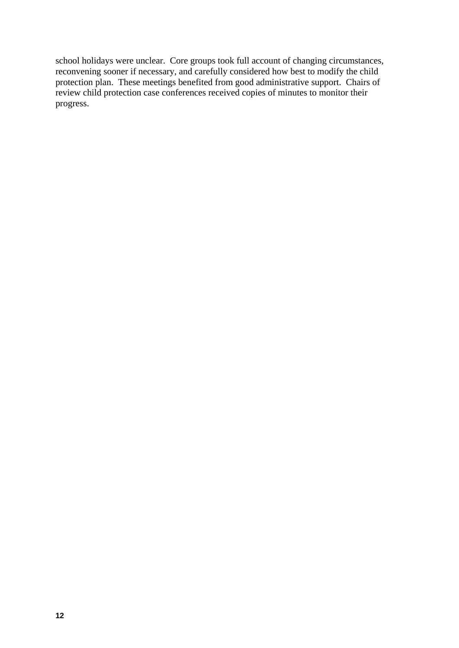school holidays were unclear. Core groups took full account of changing circumstances, reconvening sooner if necessary, and carefully considered how best to modify the child protection plan. These meetings benefited from good administrative support. Chairs of review child protection case conferences received copies of minutes to monitor their progress.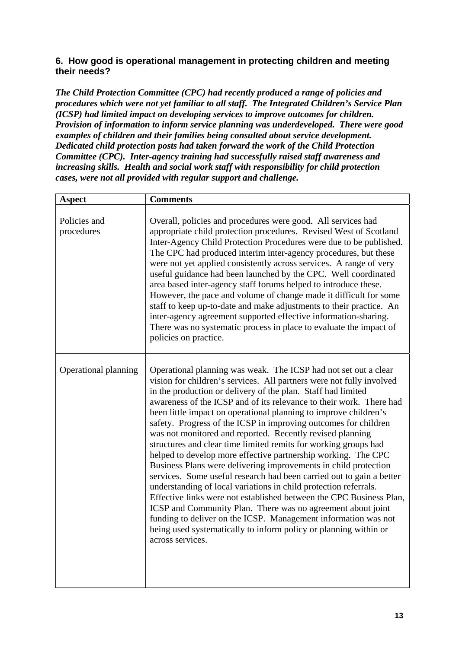# **6. How good is operational management in protecting children and meeting their needs?**

*The Child Protection Committee (CPC) had recently produced a range of policies and procedures which were not yet familiar to all staff. The Integrated Children's Service Plan (ICSP) had limited impact on developing services to improve outcomes for children. Provision of information to inform service planning was underdeveloped. There were good examples of children and their families being consulted about service development. Dedicated child protection posts had taken forward the work of the Child Protection Committee (CPC). Inter-agency training had successfully raised staff awareness and increasing skills. Health and social work staff with responsibility for child protection cases, were not all provided with regular support and challenge.* 

| <b>Aspect</b>              | <b>Comments</b>                                                                                                                                                                                                                                                                                                                                                                                                                                                                                                                                                                                                                                                                                                                                                                                                                                                                                                                                                                                                                                                                                                                       |
|----------------------------|---------------------------------------------------------------------------------------------------------------------------------------------------------------------------------------------------------------------------------------------------------------------------------------------------------------------------------------------------------------------------------------------------------------------------------------------------------------------------------------------------------------------------------------------------------------------------------------------------------------------------------------------------------------------------------------------------------------------------------------------------------------------------------------------------------------------------------------------------------------------------------------------------------------------------------------------------------------------------------------------------------------------------------------------------------------------------------------------------------------------------------------|
| Policies and<br>procedures | Overall, policies and procedures were good. All services had<br>appropriate child protection procedures. Revised West of Scotland<br>Inter-Agency Child Protection Procedures were due to be published.<br>The CPC had produced interim inter-agency procedures, but these<br>were not yet applied consistently across services. A range of very<br>useful guidance had been launched by the CPC. Well coordinated<br>area based inter-agency staff forums helped to introduce these.<br>However, the pace and volume of change made it difficult for some<br>staff to keep up-to-date and make adjustments to their practice. An<br>inter-agency agreement supported effective information-sharing.<br>There was no systematic process in place to evaluate the impact of<br>policies on practice.                                                                                                                                                                                                                                                                                                                                   |
| Operational planning       | Operational planning was weak. The ICSP had not set out a clear<br>vision for children's services. All partners were not fully involved<br>in the production or delivery of the plan. Staff had limited<br>awareness of the ICSP and of its relevance to their work. There had<br>been little impact on operational planning to improve children's<br>safety. Progress of the ICSP in improving outcomes for children<br>was not monitored and reported. Recently revised planning<br>structures and clear time limited remits for working groups had<br>helped to develop more effective partnership working. The CPC<br>Business Plans were delivering improvements in child protection<br>services. Some useful research had been carried out to gain a better<br>understanding of local variations in child protection referrals.<br>Effective links were not established between the CPC Business Plan,<br>ICSP and Community Plan. There was no agreement about joint<br>funding to deliver on the ICSP. Management information was not<br>being used systematically to inform policy or planning within or<br>across services. |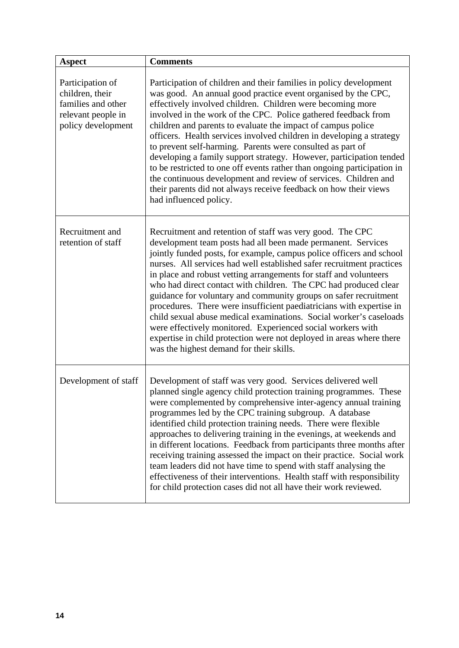| <b>Aspect</b>                                                                                         | <b>Comments</b>                                                                                                                                                                                                                                                                                                                                                                                                                                                                                                                                                                                                                                                                                                                                                                                                          |
|-------------------------------------------------------------------------------------------------------|--------------------------------------------------------------------------------------------------------------------------------------------------------------------------------------------------------------------------------------------------------------------------------------------------------------------------------------------------------------------------------------------------------------------------------------------------------------------------------------------------------------------------------------------------------------------------------------------------------------------------------------------------------------------------------------------------------------------------------------------------------------------------------------------------------------------------|
| Participation of<br>children, their<br>families and other<br>relevant people in<br>policy development | Participation of children and their families in policy development<br>was good. An annual good practice event organised by the CPC,<br>effectively involved children. Children were becoming more<br>involved in the work of the CPC. Police gathered feedback from<br>children and parents to evaluate the impact of campus police<br>officers. Health services involved children in developing a strategy<br>to prevent self-harming. Parents were consulted as part of<br>developing a family support strategy. However, participation tended<br>to be restricted to one off events rather than ongoing participation in<br>the continuous development and review of services. Children and<br>their parents did not always receive feedback on how their views<br>had influenced policy.                             |
| Recruitment and<br>retention of staff                                                                 | Recruitment and retention of staff was very good. The CPC<br>development team posts had all been made permanent. Services<br>jointly funded posts, for example, campus police officers and school<br>nurses. All services had well established safer recruitment practices<br>in place and robust vetting arrangements for staff and volunteers<br>who had direct contact with children. The CPC had produced clear<br>guidance for voluntary and community groups on safer recruitment<br>procedures. There were insufficient paediatricians with expertise in<br>child sexual abuse medical examinations. Social worker's caseloads<br>were effectively monitored. Experienced social workers with<br>expertise in child protection were not deployed in areas where there<br>was the highest demand for their skills. |
| Development of staff                                                                                  | Development of staff was very good. Services delivered well<br>planned single agency child protection training programmes. These<br>were complemented by comprehensive inter-agency annual training<br>programmes led by the CPC training subgroup. A database<br>identified child protection training needs. There were flexible<br>approaches to delivering training in the evenings, at weekends and<br>in different locations. Feedback from participants three months after<br>receiving training assessed the impact on their practice. Social work<br>team leaders did not have time to spend with staff analysing the<br>effectiveness of their interventions. Health staff with responsibility<br>for child protection cases did not all have their work reviewed.                                              |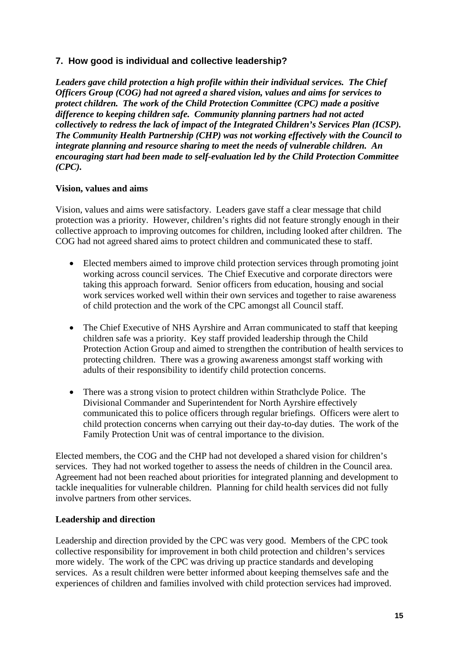# **7. How good is individual and collective leadership?**

*Leaders gave child protection a high profile within their individual services. The Chief Officers Group (COG) had not agreed a shared vision, values and aims for services to protect children. The work of the Child Protection Committee (CPC) made a positive difference to keeping children safe. Community planning partners had not acted collectively to redress the lack of impact of the Integrated Children's Services Plan (ICSP). The Community Health Partnership (CHP) was not working effectively with the Council to integrate planning and resource sharing to meet the needs of vulnerable children. An encouraging start had been made to self-evaluation led by the Child Protection Committee (CPC).* 

# **Vision, values and aims**

Vision, values and aims were satisfactory. Leaders gave staff a clear message that child protection was a priority. However, children's rights did not feature strongly enough in their collective approach to improving outcomes for children, including looked after children. The COG had not agreed shared aims to protect children and communicated these to staff.

- Elected members aimed to improve child protection services through promoting joint working across council services. The Chief Executive and corporate directors were taking this approach forward. Senior officers from education, housing and social work services worked well within their own services and together to raise awareness of child protection and the work of the CPC amongst all Council staff.
- The Chief Executive of NHS Ayrshire and Arran communicated to staff that keeping children safe was a priority. Key staff provided leadership through the Child Protection Action Group and aimed to strengthen the contribution of health services to protecting children. There was a growing awareness amongst staff working with adults of their responsibility to identify child protection concerns.
- There was a strong vision to protect children within Strathclyde Police. The Divisional Commander and Superintendent for North Ayrshire effectively communicated this to police officers through regular briefings. Officers were alert to child protection concerns when carrying out their day-to-day duties. The work of the Family Protection Unit was of central importance to the division.

Elected members, the COG and the CHP had not developed a shared vision for children's services. They had not worked together to assess the needs of children in the Council area. Agreement had not been reached about priorities for integrated planning and development to tackle inequalities for vulnerable children. Planning for child health services did not fully involve partners from other services.

# **Leadership and direction**

Leadership and direction provided by the CPC was very good. Members of the CPC took collective responsibility for improvement in both child protection and children's services more widely. The work of the CPC was driving up practice standards and developing services. As a result children were better informed about keeping themselves safe and the experiences of children and families involved with child protection services had improved.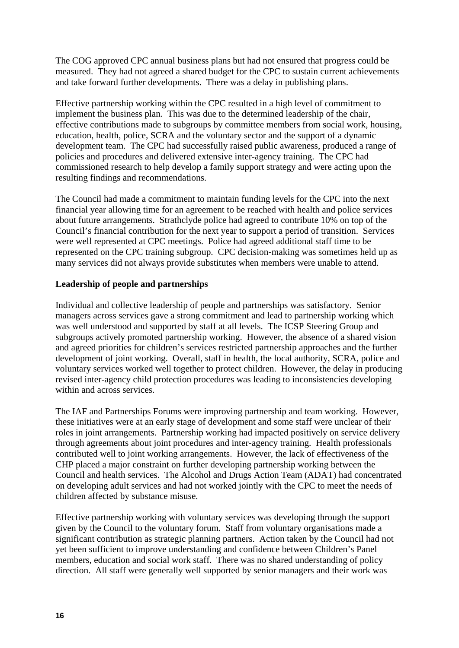The COG approved CPC annual business plans but had not ensured that progress could be measured. They had not agreed a shared budget for the CPC to sustain current achievements and take forward further developments. There was a delay in publishing plans.

Effective partnership working within the CPC resulted in a high level of commitment to implement the business plan. This was due to the determined leadership of the chair, effective contributions made to subgroups by committee members from social work, housing, education, health, police, SCRA and the voluntary sector and the support of a dynamic development team. The CPC had successfully raised public awareness, produced a range of policies and procedures and delivered extensive inter-agency training. The CPC had commissioned research to help develop a family support strategy and were acting upon the resulting findings and recommendations.

The Council had made a commitment to maintain funding levels for the CPC into the next financial year allowing time for an agreement to be reached with health and police services about future arrangements. Strathclyde police had agreed to contribute 10% on top of the Council's financial contribution for the next year to support a period of transition. Services were well represented at CPC meetings. Police had agreed additional staff time to be represented on the CPC training subgroup. CPC decision-making was sometimes held up as many services did not always provide substitutes when members were unable to attend.

# **Leadership of people and partnerships**

Individual and collective leadership of people and partnerships was satisfactory. Senior managers across services gave a strong commitment and lead to partnership working which was well understood and supported by staff at all levels. The ICSP Steering Group and subgroups actively promoted partnership working. However, the absence of a shared vision and agreed priorities for children's services restricted partnership approaches and the further development of joint working. Overall, staff in health, the local authority, SCRA, police and voluntary services worked well together to protect children. However, the delay in producing revised inter-agency child protection procedures was leading to inconsistencies developing within and across services.

The IAF and Partnerships Forums were improving partnership and team working. However, these initiatives were at an early stage of development and some staff were unclear of their roles in joint arrangements. Partnership working had impacted positively on service delivery through agreements about joint procedures and inter-agency training. Health professionals contributed well to joint working arrangements. However, the lack of effectiveness of the CHP placed a major constraint on further developing partnership working between the Council and health services. The Alcohol and Drugs Action Team (ADAT) had concentrated on developing adult services and had not worked jointly with the CPC to meet the needs of children affected by substance misuse.

Effective partnership working with voluntary services was developing through the support given by the Council to the voluntary forum. Staff from voluntary organisations made a significant contribution as strategic planning partners. Action taken by the Council had not yet been sufficient to improve understanding and confidence between Children's Panel members, education and social work staff. There was no shared understanding of policy direction. All staff were generally well supported by senior managers and their work was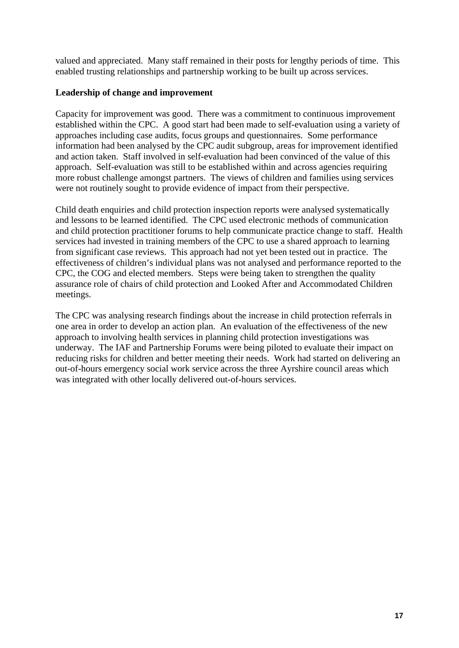valued and appreciated. Many staff remained in their posts for lengthy periods of time. This enabled trusting relationships and partnership working to be built up across services.

### **Leadership of change and improvement**

Capacity for improvement was good. There was a commitment to continuous improvement established within the CPC. A good start had been made to self-evaluation using a variety of approaches including case audits, focus groups and questionnaires. Some performance information had been analysed by the CPC audit subgroup, areas for improvement identified and action taken. Staff involved in self-evaluation had been convinced of the value of this approach. Self-evaluation was still to be established within and across agencies requiring more robust challenge amongst partners. The views of children and families using services were not routinely sought to provide evidence of impact from their perspective.

Child death enquiries and child protection inspection reports were analysed systematically and lessons to be learned identified. The CPC used electronic methods of communication and child protection practitioner forums to help communicate practice change to staff. Health services had invested in training members of the CPC to use a shared approach to learning from significant case reviews. This approach had not yet been tested out in practice. The effectiveness of children's individual plans was not analysed and performance reported to the CPC, the COG and elected members. Steps were being taken to strengthen the quality assurance role of chairs of child protection and Looked After and Accommodated Children meetings.

The CPC was analysing research findings about the increase in child protection referrals in one area in order to develop an action plan. An evaluation of the effectiveness of the new approach to involving health services in planning child protection investigations was underway. The IAF and Partnership Forums were being piloted to evaluate their impact on reducing risks for children and better meeting their needs. Work had started on delivering an out-of-hours emergency social work service across the three Ayrshire council areas which was integrated with other locally delivered out-of-hours services.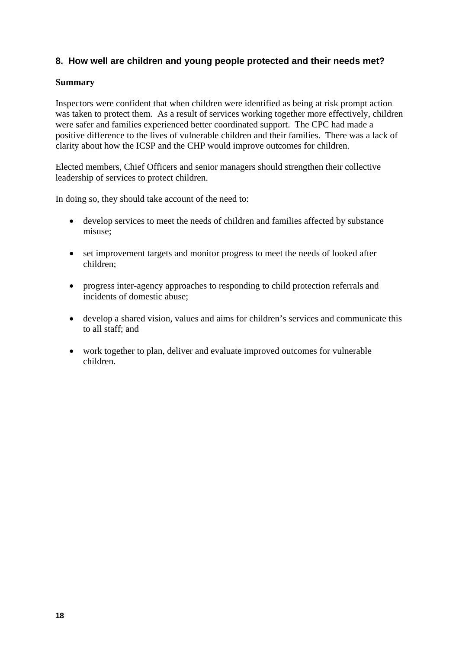# **8. How well are children and young people protected and their needs met?**

#### **Summary**

Inspectors were confident that when children were identified as being at risk prompt action was taken to protect them. As a result of services working together more effectively, children were safer and families experienced better coordinated support. The CPC had made a positive difference to the lives of vulnerable children and their families. There was a lack of clarity about how the ICSP and the CHP would improve outcomes for children.

Elected members, Chief Officers and senior managers should strengthen their collective leadership of services to protect children.

In doing so, they should take account of the need to:

- develop services to meet the needs of children and families affected by substance misuse;
- set improvement targets and monitor progress to meet the needs of looked after children;
- progress inter-agency approaches to responding to child protection referrals and incidents of domestic abuse;
- develop a shared vision, values and aims for children's services and communicate this to all staff; and
- work together to plan, deliver and evaluate improved outcomes for vulnerable children.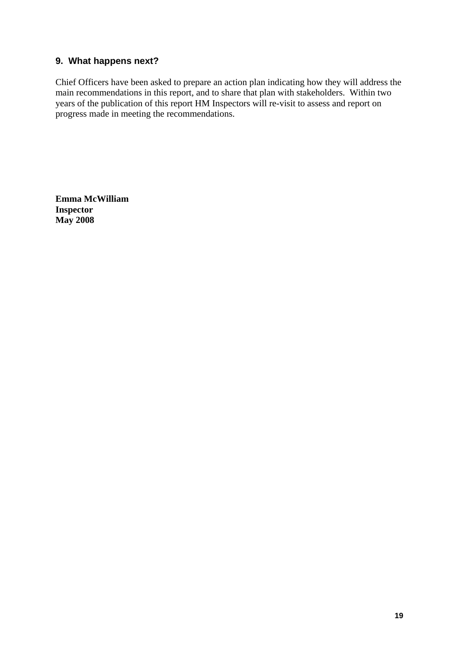# **9. What happens next?**

Chief Officers have been asked to prepare an action plan indicating how they will address the main recommendations in this report, and to share that plan with stakeholders. Within two years of the publication of this report HM Inspectors will re-visit to assess and report on progress made in meeting the recommendations.

**Emma McWilliam Inspector May 2008**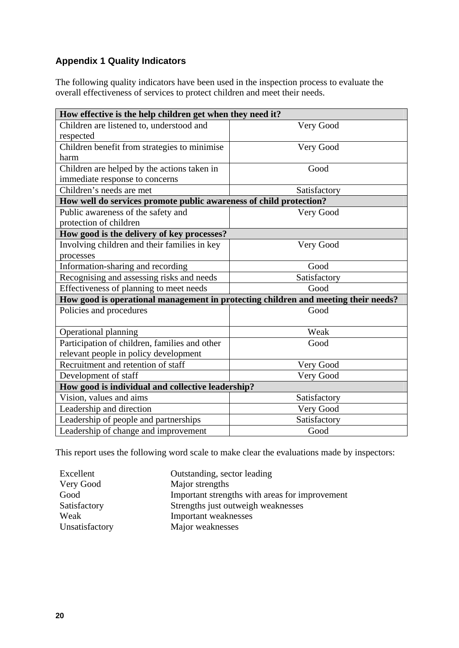# **Appendix 1 Quality Indicators**

The following quality indicators have been used in the inspection process to evaluate the overall effectiveness of services to protect children and meet their needs.

| How effective is the help children get when they need it?                          |              |  |  |  |  |
|------------------------------------------------------------------------------------|--------------|--|--|--|--|
| Children are listened to, understood and                                           | Very Good    |  |  |  |  |
| respected                                                                          |              |  |  |  |  |
| Children benefit from strategies to minimise                                       | Very Good    |  |  |  |  |
| harm                                                                               |              |  |  |  |  |
| Children are helped by the actions taken in                                        | Good         |  |  |  |  |
| immediate response to concerns                                                     |              |  |  |  |  |
| Children's needs are met                                                           | Satisfactory |  |  |  |  |
| How well do services promote public awareness of child protection?                 |              |  |  |  |  |
| Public awareness of the safety and                                                 | Very Good    |  |  |  |  |
| protection of children                                                             |              |  |  |  |  |
| How good is the delivery of key processes?                                         |              |  |  |  |  |
| Involving children and their families in key                                       | Very Good    |  |  |  |  |
| processes                                                                          |              |  |  |  |  |
| Information-sharing and recording                                                  | Good         |  |  |  |  |
| Recognising and assessing risks and needs                                          | Satisfactory |  |  |  |  |
| Effectiveness of planning to meet needs                                            | Good         |  |  |  |  |
| How good is operational management in protecting children and meeting their needs? |              |  |  |  |  |
| Policies and procedures                                                            | Good         |  |  |  |  |
| Operational planning                                                               | Weak         |  |  |  |  |
| Participation of children, families and other                                      | Good         |  |  |  |  |
| relevant people in policy development                                              |              |  |  |  |  |
| Recruitment and retention of staff                                                 | Very Good    |  |  |  |  |
| Development of staff                                                               | Very Good    |  |  |  |  |
| How good is individual and collective leadership?                                  |              |  |  |  |  |
| Vision, values and aims                                                            | Satisfactory |  |  |  |  |
| Leadership and direction                                                           | Very Good    |  |  |  |  |
| Leadership of people and partnerships                                              | Satisfactory |  |  |  |  |
| Leadership of change and improvement                                               | Good         |  |  |  |  |

This report uses the following word scale to make clear the evaluations made by inspectors:

| Excellent      | Outstanding, sector leading                    |
|----------------|------------------------------------------------|
| Very Good      | Major strengths                                |
| Good           | Important strengths with areas for improvement |
| Satisfactory   | Strengths just outweigh weaknesses             |
| Weak           | Important weaknesses                           |
| Unsatisfactory | Major weaknesses                               |